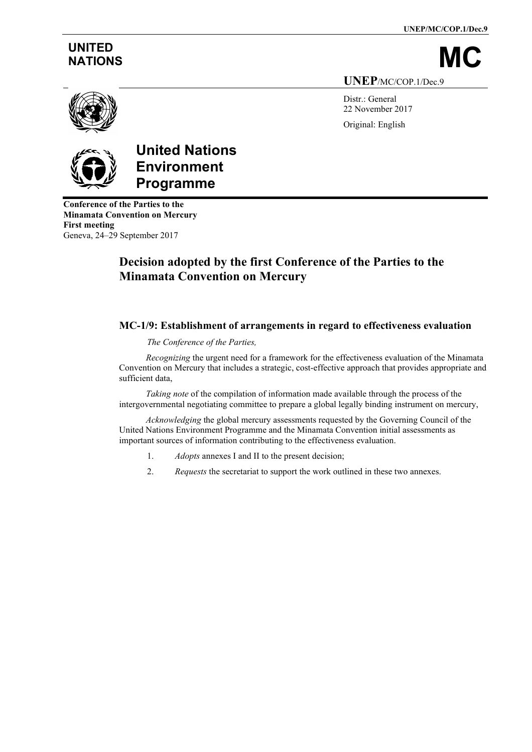**UNEP/MC/COP.1/Dec.9**

# **UNITED**

NATIONS

**UNEP**/MC/COP.1/Dec.9

Distr.: General 22 November 2017 Original: English



# **United Nations Environment Programme**

**Conference of the Parties to the Minamata Convention on Mercury First meeting** Geneva, 24–29 September 2017

# **Decision adopted by the first Conference of the Parties to the Minamata Convention on Mercury**

#### **MC-1/9: Establishment of arrangements in regard to effectiveness evaluation**

#### *The Conference of the Parties,*

*Recognizing* the urgent need for a framework for the effectiveness evaluation of the Minamata Convention on Mercury that includes a strategic, cost-effective approach that provides appropriate and sufficient data,

*Taking note* of the compilation of information made available through the process of the intergovernmental negotiating committee to prepare a global legally binding instrument on mercury,

*Acknowledging* the global mercury assessments requested by the Governing Council of the United Nations Environment Programme and the Minamata Convention initial assessments as important sources of information contributing to the effectiveness evaluation.

- 1. *Adopts* annexes I and II to the present decision;
- 2. *Requests* the secretariat to support the work outlined in these two annexes.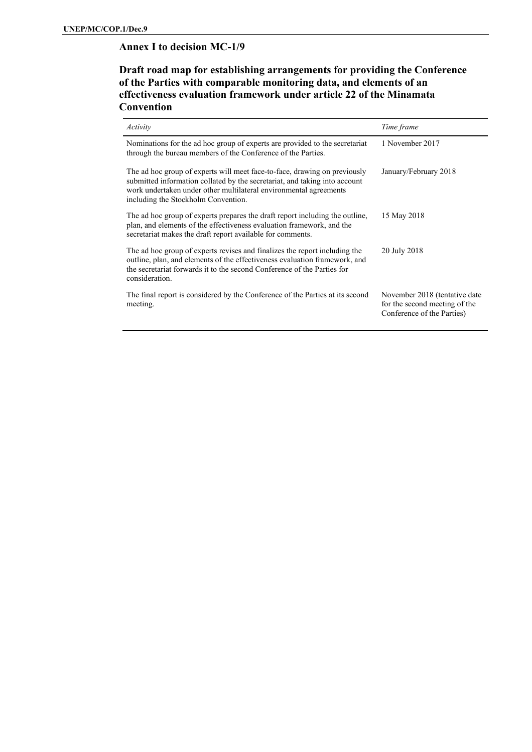#### **Annex I to decision MC-1/9**

#### **Draft road map for establishing arrangements for providing the Conference of the Parties with comparable monitoring data, and elements of an effectiveness evaluation framework under article 22 of the Minamata Convention**

| Activity                                                                                                                                                                                                                                                            | Time frame                                                                                   |
|---------------------------------------------------------------------------------------------------------------------------------------------------------------------------------------------------------------------------------------------------------------------|----------------------------------------------------------------------------------------------|
| Nominations for the ad hoc group of experts are provided to the secretariat<br>through the bureau members of the Conference of the Parties.                                                                                                                         | 1 November 2017                                                                              |
| The ad hoc group of experts will meet face-to-face, drawing on previously<br>submitted information collated by the secretariat, and taking into account<br>work undertaken under other multilateral environmental agreements<br>including the Stockholm Convention. | January/February 2018                                                                        |
| The ad hoc group of experts prepares the draft report including the outline,<br>plan, and elements of the effectiveness evaluation framework, and the<br>secretariat makes the draft report available for comments.                                                 | 15 May 2018                                                                                  |
| The ad hoc group of experts revises and finalizes the report including the<br>outline, plan, and elements of the effectiveness evaluation framework, and<br>the secretariat forwards it to the second Conference of the Parties for<br>consideration.               | 20 July 2018                                                                                 |
| The final report is considered by the Conference of the Parties at its second<br>meeting.                                                                                                                                                                           | November 2018 (tentative date<br>for the second meeting of the<br>Conference of the Parties) |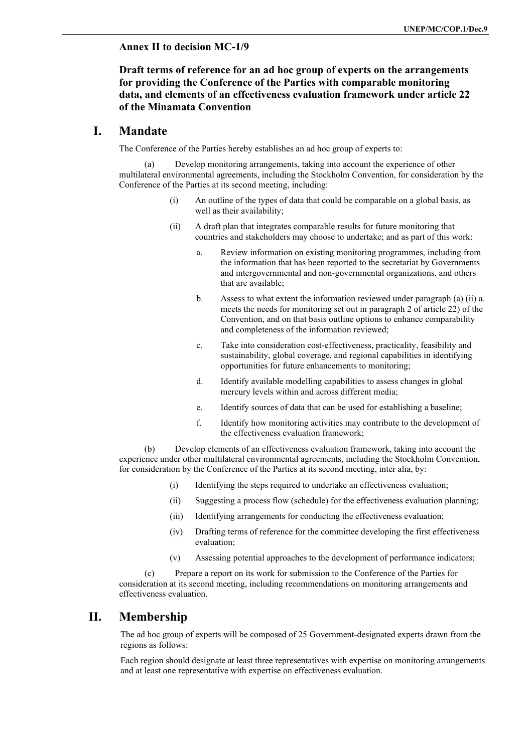#### **Annex II to decision MC-1/9**

#### **Draft terms of reference for an ad hoc group of experts on the arrangements for providing the Conference of the Parties with comparable monitoring data, and elements of an effectiveness evaluation framework under article 22 of the Minamata Convention**

#### **I. Mandate**

The Conference of the Parties hereby establishes an ad hoc group of experts to:

(a) Develop monitoring arrangements, taking into account the experience of other multilateral environmental agreements, including the Stockholm Convention, for consideration by the Conference of the Parties at its second meeting, including:

- (i) An outline of the types of data that could be comparable on a global basis, as well as their availability;
- (ii) A draft plan that integrates comparable results for future monitoring that countries and stakeholders may choose to undertake; and as part of this work:
	- a. Review information on existing monitoring programmes, including from the information that has been reported to the secretariat by Governments and intergovernmental and non-governmental organizations, and others that are available;
	- b. Assess to what extent the information reviewed under paragraph (a) (ii) a. meets the needs for monitoring set out in paragraph 2 of article 22) of the Convention, and on that basis outline options to enhance comparability and completeness of the information reviewed;
	- c. Take into consideration cost-effectiveness, practicality, feasibility and sustainability, global coverage, and regional capabilities in identifying opportunities for future enhancements to monitoring;
	- d. Identify available modelling capabilities to assess changes in global mercury levels within and across different media;
	- e. Identify sources of data that can be used for establishing a baseline;
	- f. Identify how monitoring activities may contribute to the development of the effectiveness evaluation framework;

(b) Develop elements of an effectiveness evaluation framework, taking into account the experience under other multilateral environmental agreements, including the Stockholm Convention, for consideration by the Conference of the Parties at its second meeting, inter alia, by:

- (i) Identifying the steps required to undertake an effectiveness evaluation;
- (ii) Suggesting a process flow (schedule) for the effectiveness evaluation planning;
- (iii) Identifying arrangements for conducting the effectiveness evaluation;
- (iv) Drafting terms of reference for the committee developing the first effectiveness evaluation;
- (v) Assessing potential approaches to the development of performance indicators;

(c) Prepare a report on its work for submission to the Conference of the Parties for consideration at its second meeting, including recommendations on monitoring arrangements and effectiveness evaluation.

#### **II. Membership**

The ad hoc group of experts will be composed of 25 Government-designated experts drawn from the regions as follows:

Each region should designate at least three representatives with expertise on monitoring arrangements and at least one representative with expertise on effectiveness evaluation.